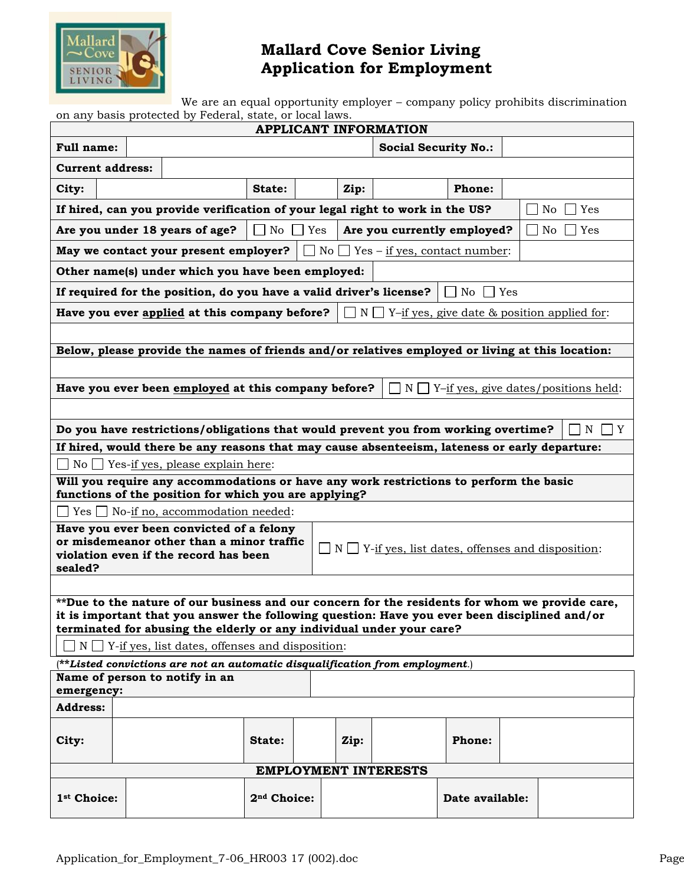

## **Mallard Cove Senior Living Application for Employment**

We are an equal opportunity employer – company policy prohibits discrimination on any basis protected by Federal, state, or local laws.

| <b>APPLICANT INFORMATION</b>                                                                                                                                                                     |                                                                                                                                                 |  |                         |  |      |  |                 |  |  |  |
|--------------------------------------------------------------------------------------------------------------------------------------------------------------------------------------------------|-------------------------------------------------------------------------------------------------------------------------------------------------|--|-------------------------|--|------|--|-----------------|--|--|--|
| Full name:                                                                                                                                                                                       | <b>Social Security No.:</b>                                                                                                                     |  |                         |  |      |  |                 |  |  |  |
| <b>Current address:</b>                                                                                                                                                                          |                                                                                                                                                 |  |                         |  |      |  |                 |  |  |  |
| City:                                                                                                                                                                                            |                                                                                                                                                 |  | State:                  |  | Zip: |  | <b>Phone:</b>   |  |  |  |
| If hired, can you provide verification of your legal right to work in the US?<br>Yes<br>No                                                                                                       |                                                                                                                                                 |  |                         |  |      |  |                 |  |  |  |
| No<br>Are you under 18 years of age?<br>Yes<br>Are you currently employed?<br>No<br>Yes                                                                                                          |                                                                                                                                                 |  |                         |  |      |  |                 |  |  |  |
| May we contact your present employer?<br>$\Box$ No $\Box$ Yes – <u>if yes, contact number</u> :                                                                                                  |                                                                                                                                                 |  |                         |  |      |  |                 |  |  |  |
| Other name(s) under which you have been employed:                                                                                                                                                |                                                                                                                                                 |  |                         |  |      |  |                 |  |  |  |
| If required for the position, do you have a valid driver's license?<br>    No<br>Yes                                                                                                             |                                                                                                                                                 |  |                         |  |      |  |                 |  |  |  |
| Have you ever applied at this company before?<br>$N \Box Y$ -if yes, give date & position applied for:                                                                                           |                                                                                                                                                 |  |                         |  |      |  |                 |  |  |  |
|                                                                                                                                                                                                  |                                                                                                                                                 |  |                         |  |      |  |                 |  |  |  |
| Below, please provide the names of friends and/or relatives employed or living at this location:                                                                                                 |                                                                                                                                                 |  |                         |  |      |  |                 |  |  |  |
|                                                                                                                                                                                                  |                                                                                                                                                 |  |                         |  |      |  |                 |  |  |  |
| Have you ever been employed at this company before?<br>$N \Box Y$ -if yes, give dates/positions held:                                                                                            |                                                                                                                                                 |  |                         |  |      |  |                 |  |  |  |
|                                                                                                                                                                                                  |                                                                                                                                                 |  |                         |  |      |  |                 |  |  |  |
| Do you have restrictions/obligations that would prevent you from working overtime?<br>N<br>  Y                                                                                                   |                                                                                                                                                 |  |                         |  |      |  |                 |  |  |  |
| If hired, would there be any reasons that may cause absenteeism, lateness or early departure:                                                                                                    |                                                                                                                                                 |  |                         |  |      |  |                 |  |  |  |
| $No \rightharpoonup Yes$ -if yes, please explain here:                                                                                                                                           |                                                                                                                                                 |  |                         |  |      |  |                 |  |  |  |
|                                                                                                                                                                                                  | Will you require any accommodations or have any work restrictions to perform the basic<br>functions of the position for which you are applying? |  |                         |  |      |  |                 |  |  |  |
|                                                                                                                                                                                                  | $\Box$ Yes $\Box$ No-if no, accommodation needed:                                                                                               |  |                         |  |      |  |                 |  |  |  |
| Have you ever been convicted of a felony                                                                                                                                                         |                                                                                                                                                 |  |                         |  |      |  |                 |  |  |  |
| or misdemeanor other than a minor traffic<br>$\Box$ N $\Box$ Y-if yes, list dates, offenses and disposition:<br>violation even if the record has been                                            |                                                                                                                                                 |  |                         |  |      |  |                 |  |  |  |
| sealed?                                                                                                                                                                                          |                                                                                                                                                 |  |                         |  |      |  |                 |  |  |  |
|                                                                                                                                                                                                  |                                                                                                                                                 |  |                         |  |      |  |                 |  |  |  |
| **Due to the nature of our business and our concern for the residents for whom we provide care,<br>it is important that you answer the following question: Have you ever been disciplined and/or |                                                                                                                                                 |  |                         |  |      |  |                 |  |  |  |
| terminated for abusing the elderly or any individual under your care?                                                                                                                            |                                                                                                                                                 |  |                         |  |      |  |                 |  |  |  |
| $N \prod Y$ -if yes, list dates, offenses and disposition:                                                                                                                                       |                                                                                                                                                 |  |                         |  |      |  |                 |  |  |  |
| $(*\star$ Listed convictions are not an automatic disqualification from employment.)                                                                                                             |                                                                                                                                                 |  |                         |  |      |  |                 |  |  |  |
| Name of person to notify in an<br>emergency:                                                                                                                                                     |                                                                                                                                                 |  |                         |  |      |  |                 |  |  |  |
| <b>Address:</b>                                                                                                                                                                                  |                                                                                                                                                 |  |                         |  |      |  |                 |  |  |  |
|                                                                                                                                                                                                  |                                                                                                                                                 |  |                         |  |      |  |                 |  |  |  |
| City:                                                                                                                                                                                            |                                                                                                                                                 |  | State:                  |  | Zip: |  | <b>Phone:</b>   |  |  |  |
| <b>EMPLOYMENT INTERESTS</b>                                                                                                                                                                      |                                                                                                                                                 |  |                         |  |      |  |                 |  |  |  |
| 1 <sup>st</sup> Choice:                                                                                                                                                                          |                                                                                                                                                 |  | 2 <sup>nd</sup> Choice: |  |      |  | Date available: |  |  |  |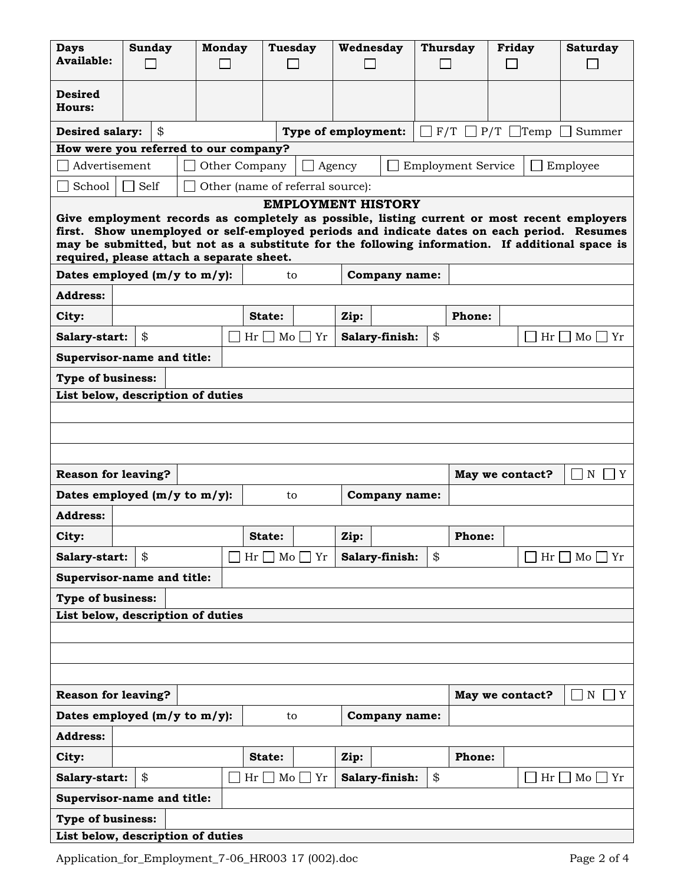| <b>Days</b>                                                                                                                                                                                                                                                                                                                                                            | <b>Sunday</b> | <b>Monday</b> | <b>Tuesday</b>                        |                | Wednesday           |                | <b>Thursday</b> |                 | <b>Friday</b> |    | <b>Saturday</b>   |
|------------------------------------------------------------------------------------------------------------------------------------------------------------------------------------------------------------------------------------------------------------------------------------------------------------------------------------------------------------------------|---------------|---------------|---------------------------------------|----------------|---------------------|----------------|-----------------|-----------------|---------------|----|-------------------|
| <b>Available:</b>                                                                                                                                                                                                                                                                                                                                                      |               |               |                                       |                |                     |                |                 |                 |               |    |                   |
|                                                                                                                                                                                                                                                                                                                                                                        |               |               |                                       |                |                     |                |                 |                 |               |    |                   |
| <b>Desired</b><br><b>Hours:</b>                                                                                                                                                                                                                                                                                                                                        |               |               |                                       |                |                     |                |                 |                 |               |    |                   |
| <b>Desired salary:</b>                                                                                                                                                                                                                                                                                                                                                 | \$            |               |                                       |                | Type of employment: |                |                 | $F/T$ P/T Temp  |               |    | Summer            |
| How were you referred to our company?                                                                                                                                                                                                                                                                                                                                  |               |               |                                       |                |                     |                |                 |                 |               |    |                   |
| Advertisement<br>Other Company<br><b>Employment Service</b><br>Agency<br>Employee                                                                                                                                                                                                                                                                                      |               |               |                                       |                |                     |                |                 |                 |               |    |                   |
| School<br>Self<br>Other (name of referral source):                                                                                                                                                                                                                                                                                                                     |               |               |                                       |                |                     |                |                 |                 |               |    |                   |
| <b>EMPLOYMENT HISTORY</b><br>Give employment records as completely as possible, listing current or most recent employers<br>first. Show unemployed or self-employed periods and indicate dates on each period. Resumes<br>may be submitted, but not as a substitute for the following information. If additional space is<br>required, please attach a separate sheet. |               |               |                                       |                |                     |                |                 |                 |               |    |                   |
| Dates employed (m/y to m/y):<br><b>Company name:</b><br>to                                                                                                                                                                                                                                                                                                             |               |               |                                       |                |                     |                |                 |                 |               |    |                   |
| <b>Address:</b>                                                                                                                                                                                                                                                                                                                                                        |               |               |                                       |                |                     |                |                 |                 |               |    |                   |
| Phone:<br>City:<br>State:<br>Zip:                                                                                                                                                                                                                                                                                                                                      |               |               |                                       |                |                     |                |                 |                 |               |    |                   |
| \$<br>\$<br>Salary-start:<br>Mo<br>Yr<br>Salary-finish:<br>Hr<br>M <sub>o</sub><br>Hr<br>  Yr                                                                                                                                                                                                                                                                          |               |               |                                       |                |                     |                |                 |                 |               |    |                   |
| Supervisor-name and title:                                                                                                                                                                                                                                                                                                                                             |               |               |                                       |                |                     |                |                 |                 |               |    |                   |
| <b>Type of business:</b>                                                                                                                                                                                                                                                                                                                                               |               |               |                                       |                |                     |                |                 |                 |               |    |                   |
| List below, description of duties                                                                                                                                                                                                                                                                                                                                      |               |               |                                       |                |                     |                |                 |                 |               |    |                   |
|                                                                                                                                                                                                                                                                                                                                                                        |               |               |                                       |                |                     |                |                 |                 |               |    |                   |
|                                                                                                                                                                                                                                                                                                                                                                        |               |               |                                       |                |                     |                |                 |                 |               |    |                   |
|                                                                                                                                                                                                                                                                                                                                                                        |               |               |                                       |                |                     |                |                 |                 |               |    |                   |
| <b>Reason for leaving?</b>                                                                                                                                                                                                                                                                                                                                             |               |               |                                       |                |                     |                |                 | May we contact? |               |    | $\mathbf N$<br>Y  |
| Dates employed $(m/y to m/y)$ :                                                                                                                                                                                                                                                                                                                                        |               |               | to                                    |                |                     | Company name:  |                 |                 |               |    |                   |
| <b>Address:</b>                                                                                                                                                                                                                                                                                                                                                        |               |               |                                       |                |                     |                |                 |                 |               |    |                   |
| City:                                                                                                                                                                                                                                                                                                                                                                  |               |               | State:                                |                | Zip:                |                |                 | <b>Phone:</b>   |               |    |                   |
| Salary-start:                                                                                                                                                                                                                                                                                                                                                          | \$            |               | $\overline{\text{Mo}}$<br>Hr          | $\overline{Y}$ |                     | Salary-finish: | \$              |                 |               | Hr | $Mo$   $Yr$       |
| Supervisor-name and title:                                                                                                                                                                                                                                                                                                                                             |               |               |                                       |                |                     |                |                 |                 |               |    |                   |
| <b>Type of business:</b>                                                                                                                                                                                                                                                                                                                                               |               |               |                                       |                |                     |                |                 |                 |               |    |                   |
| List below, description of duties                                                                                                                                                                                                                                                                                                                                      |               |               |                                       |                |                     |                |                 |                 |               |    |                   |
|                                                                                                                                                                                                                                                                                                                                                                        |               |               |                                       |                |                     |                |                 |                 |               |    |                   |
|                                                                                                                                                                                                                                                                                                                                                                        |               |               |                                       |                |                     |                |                 |                 |               |    |                   |
|                                                                                                                                                                                                                                                                                                                                                                        |               |               |                                       |                |                     |                |                 |                 |               |    |                   |
| <b>Reason for leaving?</b><br>May we contact?<br>N<br>Y                                                                                                                                                                                                                                                                                                                |               |               |                                       |                |                     |                |                 |                 |               |    |                   |
| Dates employed (m/y to m/y):<br>Company name:<br>to                                                                                                                                                                                                                                                                                                                    |               |               |                                       |                |                     |                |                 |                 |               |    |                   |
| <b>Address:</b>                                                                                                                                                                                                                                                                                                                                                        |               |               |                                       |                |                     |                |                 |                 |               |    |                   |
| City:                                                                                                                                                                                                                                                                                                                                                                  |               |               | State:                                |                | Zip:                |                |                 | Phone:          |               |    |                   |
| Salary-start:                                                                                                                                                                                                                                                                                                                                                          | \$            |               | $\operatorname{Hr} \Box$ Mo $\Box$ Yr |                |                     | Salary-finish: | \$              |                 |               | Hr | $Mo \bigsqcup Yr$ |
| Supervisor-name and title:                                                                                                                                                                                                                                                                                                                                             |               |               |                                       |                |                     |                |                 |                 |               |    |                   |
| <b>Type of business:</b>                                                                                                                                                                                                                                                                                                                                               |               |               |                                       |                |                     |                |                 |                 |               |    |                   |
| List below, description of duties                                                                                                                                                                                                                                                                                                                                      |               |               |                                       |                |                     |                |                 |                 |               |    |                   |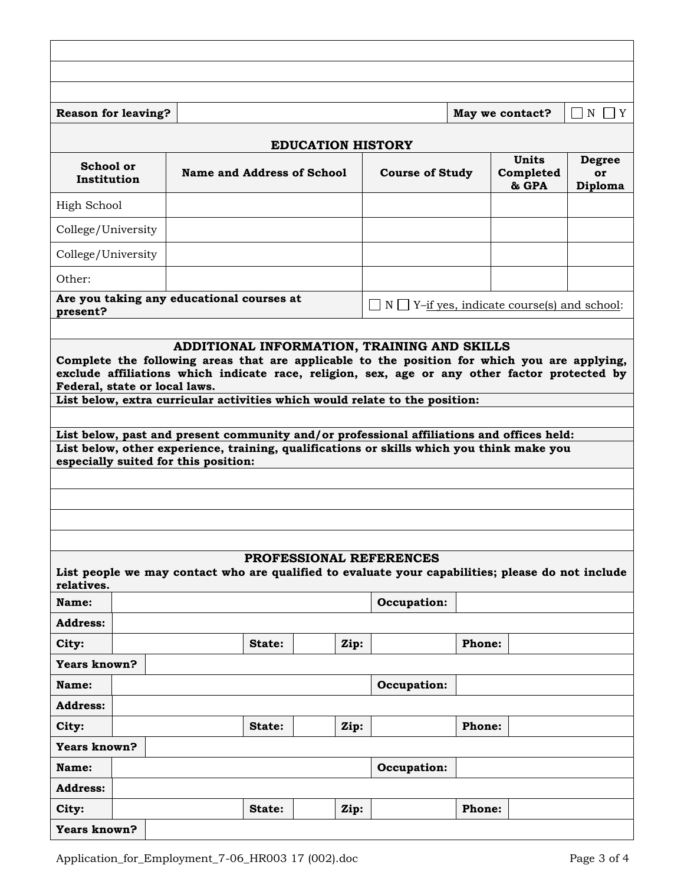| May we contact?<br>$\neg N \Box Y$<br><b>Reason for leaving?</b>                                                                                                                                                                                                                                                                                                          |  |        |                                                      |      |                                                          |                                    |                                       |  |  |  |
|---------------------------------------------------------------------------------------------------------------------------------------------------------------------------------------------------------------------------------------------------------------------------------------------------------------------------------------------------------------------------|--|--------|------------------------------------------------------|------|----------------------------------------------------------|------------------------------------|---------------------------------------|--|--|--|
| <b>EDUCATION HISTORY</b>                                                                                                                                                                                                                                                                                                                                                  |  |        |                                                      |      |                                                          |                                    |                                       |  |  |  |
| School or<br>Institution                                                                                                                                                                                                                                                                                                                                                  |  |        | Name and Address of School<br><b>Course of Study</b> |      |                                                          | <b>Units</b><br>Completed<br>& GPA | <b>Degree</b><br><b>or</b><br>Diploma |  |  |  |
| High School                                                                                                                                                                                                                                                                                                                                                               |  |        |                                                      |      |                                                          |                                    |                                       |  |  |  |
| College/University                                                                                                                                                                                                                                                                                                                                                        |  |        |                                                      |      |                                                          |                                    |                                       |  |  |  |
| College/University                                                                                                                                                                                                                                                                                                                                                        |  |        |                                                      |      |                                                          |                                    |                                       |  |  |  |
| Other:                                                                                                                                                                                                                                                                                                                                                                    |  |        |                                                      |      |                                                          |                                    |                                       |  |  |  |
| Are you taking any educational courses at<br>present?                                                                                                                                                                                                                                                                                                                     |  |        |                                                      |      | $\Box$ N $\Box$ Y-if yes, indicate course(s) and school: |                                    |                                       |  |  |  |
|                                                                                                                                                                                                                                                                                                                                                                           |  |        |                                                      |      |                                                          |                                    |                                       |  |  |  |
| Federal, state or local laws.<br>List below, extra curricular activities which would relate to the position:<br>List below, past and present community and/or professional affiliations and offices held:<br>List below, other experience, training, qualifications or skills which you think make you<br>especially suited for this position:<br>PROFESSIONAL REFERENCES |  |        |                                                      |      |                                                          |                                    |                                       |  |  |  |
| List people we may contact who are qualified to evaluate your capabilities; please do not include<br>relatives.                                                                                                                                                                                                                                                           |  |        |                                                      |      |                                                          |                                    |                                       |  |  |  |
| Name:                                                                                                                                                                                                                                                                                                                                                                     |  |        |                                                      |      | Occupation:                                              |                                    |                                       |  |  |  |
| <b>Address:</b><br>City:                                                                                                                                                                                                                                                                                                                                                  |  | State: |                                                      | Zip: |                                                          | Phone:                             |                                       |  |  |  |
| Years known?                                                                                                                                                                                                                                                                                                                                                              |  |        |                                                      |      |                                                          |                                    |                                       |  |  |  |
| Name:                                                                                                                                                                                                                                                                                                                                                                     |  |        |                                                      |      | Occupation:                                              |                                    |                                       |  |  |  |
| <b>Address:</b>                                                                                                                                                                                                                                                                                                                                                           |  |        |                                                      |      |                                                          |                                    |                                       |  |  |  |
| City:                                                                                                                                                                                                                                                                                                                                                                     |  | State: |                                                      | Zip: |                                                          | <b>Phone:</b>                      |                                       |  |  |  |
| Years known?                                                                                                                                                                                                                                                                                                                                                              |  |        |                                                      |      |                                                          |                                    |                                       |  |  |  |
| Name:                                                                                                                                                                                                                                                                                                                                                                     |  |        |                                                      |      | Occupation:                                              |                                    |                                       |  |  |  |
| <b>Address:</b>                                                                                                                                                                                                                                                                                                                                                           |  |        |                                                      |      |                                                          |                                    |                                       |  |  |  |
| City:                                                                                                                                                                                                                                                                                                                                                                     |  | State: |                                                      | Zip: |                                                          | <b>Phone:</b>                      |                                       |  |  |  |
| Years known?                                                                                                                                                                                                                                                                                                                                                              |  |        |                                                      |      |                                                          |                                    |                                       |  |  |  |